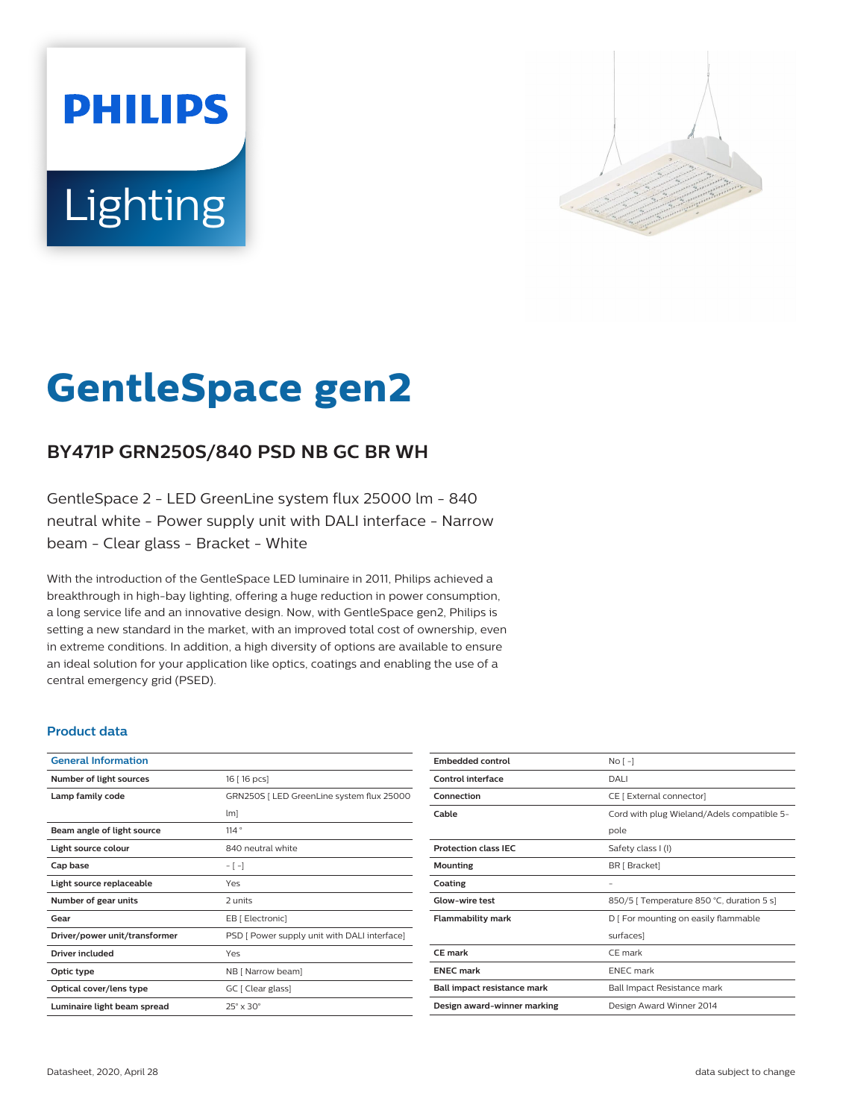# **PHILIPS** Lighting



# **GentleSpace gen2**

# **BY471P GRN250S/840 PSD NB GC BR WH**

GentleSpace 2 - LED GreenLine system flux 25000 lm - 840 neutral white - Power supply unit with DALI interface - Narrow beam - Clear glass - Bracket - White

With the introduction of the GentleSpace LED luminaire in 2011, Philips achieved a breakthrough in high-bay lighting, offering a huge reduction in power consumption, a long service life and an innovative design. Now, with GentleSpace gen2, Philips is setting a new standard in the market, with an improved total cost of ownership, even in extreme conditions. In addition, a high diversity of options are available to ensure an ideal solution for your application like optics, coatings and enabling the use of a central emergency grid (PSED).

#### **Product data**

| <b>General Information</b>    |                                              |
|-------------------------------|----------------------------------------------|
| Number of light sources       | 16 [ 16 pcs]                                 |
| Lamp family code              | GRN250S   LED GreenLine system flux 25000    |
|                               | $\lfloor m \rfloor$                          |
| Beam angle of light source    | 114°                                         |
| Light source colour           | 840 neutral white                            |
| Cap base                      | $-[-]$                                       |
| Light source replaceable      | Yes                                          |
| Number of gear units          | 2 units                                      |
| Gear                          | EB [ Electronic]                             |
| Driver/power unit/transformer | PSD [ Power supply unit with DALI interface] |
| <b>Driver included</b>        | Yes                                          |
| Optic type                    | NB [ Narrow beam]                            |
| Optical cover/lens type       | GC [ Clear glass]                            |
| Luminaire light beam spread   | $25^\circ \times 30^\circ$                   |

| <b>Embedded control</b>     | No <sub>1</sub>                            |
|-----------------------------|--------------------------------------------|
| Control interface           | DALI                                       |
| Connection                  | CE [ External connector]                   |
| Cable                       | Cord with plug Wieland/Adels compatible 5- |
|                             | pole                                       |
| <b>Protection class IEC</b> | Safety class I (I)                         |
| Mounting                    | BR [ Bracket]                              |
| Coating                     |                                            |
| Glow-wire test              | 850/5   Temperature 850 °C, duration 5 s]  |
| Flammability mark           | D   For mounting on easily flammable       |
|                             | surfaces]                                  |
| CE mark                     | CE mark                                    |
| <b>FNFC</b> mark            | <b>ENFC</b> mark                           |
| Ball impact resistance mark | Ball Impact Resistance mark                |
| Design award-winner marking | Design Award Winner 2014                   |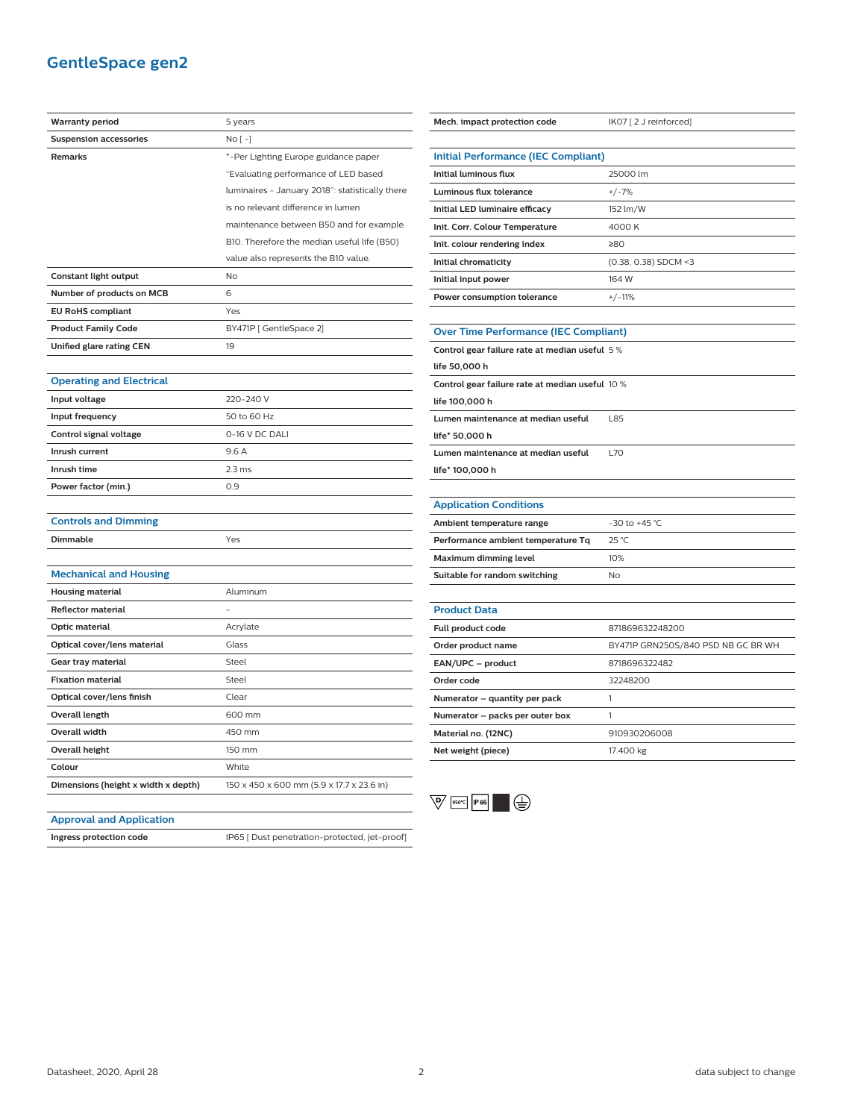## **GentleSpace gen2**

| <b>Warranty period</b>              | 5 years                                         |
|-------------------------------------|-------------------------------------------------|
| <b>Suspension accessories</b>       | No [-]                                          |
| <b>Remarks</b>                      | *-Per Lighting Europe guidance paper            |
|                                     | "Evaluating performance of LED based            |
|                                     | luminaires - January 2018": statistically there |
|                                     | is no relevant difference in lumen              |
|                                     | maintenance between B50 and for example         |
|                                     | B10. Therefore the median useful life (B50)     |
|                                     | value also represents the B10 value.            |
| Constant light output               | <b>No</b>                                       |
| Number of products on MCB           | 6                                               |
| <b>EU RoHS compliant</b>            | Yes                                             |
| <b>Product Family Code</b>          | BY471P [ GentleSpace 2]                         |
| Unified glare rating CEN            | 19                                              |
|                                     |                                                 |
| <b>Operating and Electrical</b>     |                                                 |
| Input voltage                       | 220-240 V                                       |
| Input frequency                     | 50 to 60 Hz                                     |
| Control signal voltage              | 0-16 V DC DALI                                  |
| Inrush current                      | 9.6 A                                           |
| Inrush time                         | 2.3 <sub>ms</sub>                               |
| Power factor (min.)                 | 0.9                                             |
|                                     |                                                 |
| <b>Controls and Dimming</b>         |                                                 |
| Dimmable                            | Yes                                             |
|                                     |                                                 |
| <b>Mechanical and Housing</b>       |                                                 |
| <b>Housing material</b>             | Aluminum                                        |
| <b>Reflector material</b>           |                                                 |
| Optic material                      | Acrylate                                        |
| Optical cover/lens material         | Glass                                           |
| Gear tray material                  | Steel                                           |
| <b>Fixation material</b>            | Steel                                           |
| Optical cover/lens finish           | Clear                                           |
| Overall length                      | 600 mm                                          |
| <b>Overall width</b>                | 450 mm                                          |
| <b>Overall height</b>               | 150 mm                                          |
| Colour                              | White                                           |
| Dimensions (height x width x depth) | 150 x 450 x 600 mm (5.9 x 17.7 x 23.6 in)       |

| Mech. impact protection code                    | IK07 [2 J reinforced]              |
|-------------------------------------------------|------------------------------------|
|                                                 |                                    |
| <b>Initial Performance (IEC Compliant)</b>      |                                    |
| <b>Initial luminous flux</b>                    | 25000 lm                           |
| Luminous flux tolerance                         | $+/-7%$                            |
| Initial LED luminaire efficacy                  | 152 lm/W                           |
| Init. Corr. Colour Temperature                  | 4000 K                             |
| Init. colour rendering index                    | ≥80                                |
| Initial chromaticity                            | (0.38, 0.38) SDCM <3               |
| Initial input power                             | 164 W                              |
| Power consumption tolerance                     | $+/-11%$                           |
|                                                 |                                    |
| <b>Over Time Performance (IEC Compliant)</b>    |                                    |
| Control gear failure rate at median useful 5%   |                                    |
| life 50,000 h                                   |                                    |
| Control gear failure rate at median useful 10 % |                                    |
| life 100,000 h                                  |                                    |
| Lumen maintenance at median useful              | L85                                |
| life* 50,000 h                                  |                                    |
| Lumen maintenance at median useful              | <b>L70</b>                         |
| life* 100,000 h                                 |                                    |
|                                                 |                                    |
| <b>Application Conditions</b>                   |                                    |
| Ambient temperature range                       | -30 to +45 $^{\circ}$ C            |
| Performance ambient temperature Tq              | 25 °C                              |
| Maximum dimming level                           | 10%                                |
| Suitable for random switching                   | No                                 |
|                                                 |                                    |
| <b>Product Data</b>                             |                                    |
| Full product code                               | 871869632248200                    |
| Order product name                              | BY471P GRN250S/840 PSD NB GC BR WH |
| EAN/UPC - product                               | 8718696322482                      |
| Order code                                      | 32248200                           |
| Numerator - quantity per pack                   | 1                                  |
| Numerator - packs per outer box                 | 1                                  |
| Material no. (12NC)                             | 910930206008                       |
| Net weight (piece)                              | 17.400 kg                          |



#### **Approval and Application**

**Ingress protection code** IP65 [ Dust penetration-protected, jet-proof]